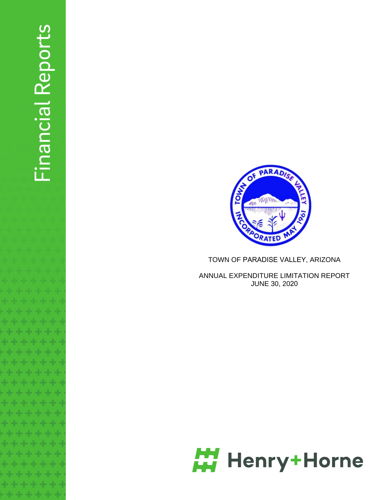# Financial Reports Financial Reports



**TOW.** 

 $\mathscr{M}^{\mathbb{N}}$ 

ANNUAL EXPENDITURE LIMITATION REPORT JUNE 30, 2020

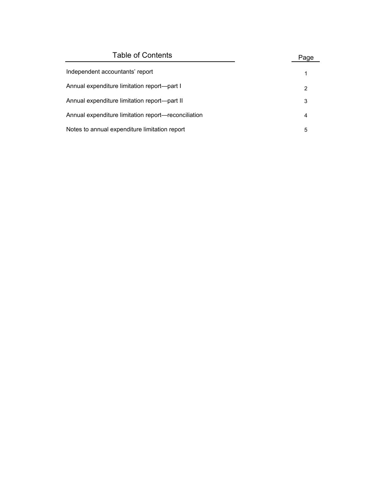| <b>Table of Contents</b>                            | Page |
|-----------------------------------------------------|------|
| Independent accountants' report                     |      |
| Annual expenditure limitation report—part I         | 2    |
| Annual expenditure limitation report—part II        | 3    |
| Annual expenditure limitation report—reconciliation | 4    |
| Notes to annual expenditure limitation report       | 5    |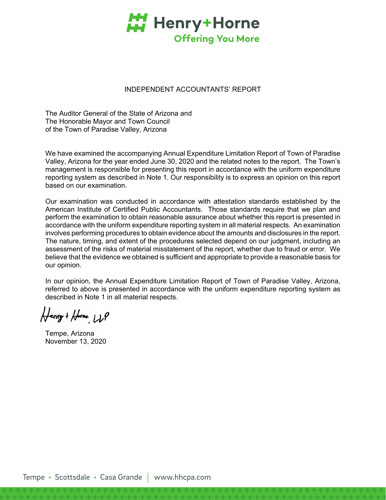

# INDEPENDENT ACCOUNTANTS' REPORT

The Auditor General of the State of Arizona and The Honorable Mayor and Town Council of the Town of Paradise Valley, Arizona

We have examined the accompanying Annual Expenditure Limitation Report of Town of Paradise Valley, Arizona for the year ended June 30, 2020 and the related notes to the report. The Town's management is responsible for presenting this report in accordance with the uniform expenditure reporting system as described in Note 1. Our responsibility is to express an opinion on this report based on our examination.

Our examination was conducted in accordance with attestation standards established by the American Institute of Certified Public Accountants. Those standards require that we plan and perform the examination to obtain reasonable assurance about whether this report is presented in accordance with the uniform expenditure reporting system in all material respects. An examination involves performing procedures to obtain evidence about the amounts and disclosures in the report. The nature, timing, and extent of the procedures selected depend on our judgment, including an assessment of the risks of material misstatement of the report, whether due to fraud or error. We believe that the evidence we obtained is sufficient and appropriate to provide a reasonable basis for our opinion.

In our opinion, the Annual Expenditure Limitation Report of Town of Paradise Valley, Arizona, referred to above is presented in accordance with the uniform expenditure reporting system as described in Note 1 in all material respects.

Henry + Home LLP

Tempe, Arizona November 13, 2020

Tempe • Scottsdale • Casa Grande | www.hhcpa.com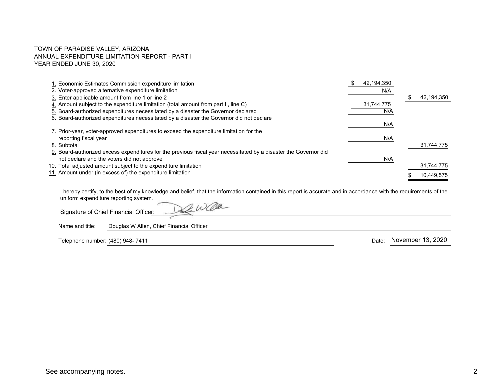### TOWN OF PARADISE VALLEY, ARIZONA ANNUAL EXPENDITURE LIMITATION REPORT - PART I YEAR ENDED JUNE 30, 2020

| 1. Economic Estimates Commission expenditure limitation<br>2. Voter-approved alternative expenditure limitation<br>3. Enter applicable amount from line 1 or line 2 | 42,194,350<br>N/A | 42,194,350 |
|---------------------------------------------------------------------------------------------------------------------------------------------------------------------|-------------------|------------|
| 4. Amount subject to the expenditure limitation (total amount from part II, line C)                                                                                 | 31,744,775        |            |
| 5. Board-authorized expenditures necessitated by a disaster the Governor declared                                                                                   | N/A               |            |
| 6. Board-authorized expenditures necessitated by a disaster the Governor did not declare                                                                            | N/A               |            |
| 7. Prior-year, voter-approved expenditures to exceed the expenditure limitation for the                                                                             |                   |            |
| reporting fiscal year                                                                                                                                               | N/A               |            |
| 8. Subtotal<br>9. Board-authorized excess expenditures for the previous fiscal year necessitated by a disaster the Governor did                                     |                   | 31,744,775 |
| not declare and the voters did not approve                                                                                                                          | N/A               |            |
| 10. Total adjusted amount subject to the expenditure limitation                                                                                                     |                   | 31,744,775 |
| 11. Amount under (in excess of) the expenditure limitation                                                                                                          |                   | 10,449,575 |

I hereby certify, to the best of my knowledge and belief, that the information contained in this report is accurate and in accordance with the requirements of the uniform expenditure reporting system. De Waa

Signature of Chief Financial Officer:

Name and title: Douglas W Allen, Chief Financial Officer

7HOHSKRQHQXPEHU 'DWH 

Date: November 13, 2020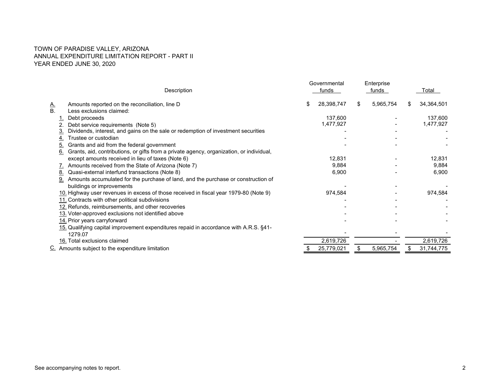# TOWN OF PARADISE VALLEY, ARIZONA ANNUAL EXPENDITURE LIMITATION REPORT - PART II YEAR ENDED JUNE 30, 2020

|           |                                                                                                  | Governmental     | Enterprise      |   |            |
|-----------|--------------------------------------------------------------------------------------------------|------------------|-----------------|---|------------|
|           | Description                                                                                      | funds            | funds           |   | Total      |
| <u>A.</u> | Amounts reported on the reconciliation, line D                                                   | \$<br>28,398,747 | \$<br>5,965,754 | S | 34,364,501 |
| В.        | Less exclusions claimed:                                                                         |                  |                 |   |            |
|           | Debt proceeds                                                                                    | 137,600          |                 |   | 137,600    |
|           | Debt service requirements (Note 5)                                                               | 1,477,927        |                 |   | 1,477,927  |
| 3.        | Dividends, interest, and gains on the sale or redemption of investment securities                |                  |                 |   |            |
| 4.        | Trustee or custodian                                                                             |                  |                 |   |            |
| 5.        | Grants and aid from the federal government                                                       |                  |                 |   |            |
| 6.        | Grants, aid, contributions, or gifts from a private agency, organization, or individual,         |                  |                 |   |            |
|           | except amounts received in lieu of taxes (Note 6)                                                | 12,831           |                 |   | 12,831     |
|           | Amounts received from the State of Arizona (Note 7)                                              | 9,884            |                 |   | 9,884      |
| <u>8.</u> | Quasi-external interfund transactions (Note 8)                                                   | 6,900            |                 |   | 6,900      |
| 9.        | Amounts accumulated for the purchase of land, and the purchase or construction of                |                  |                 |   |            |
|           | buildings or improvements                                                                        |                  |                 |   |            |
|           | 10. Highway user revenues in excess of those received in fiscal year 1979-80 (Note 9)            | 974,584          |                 |   | 974,584    |
|           | 11. Contracts with other political subdivisions                                                  |                  |                 |   |            |
|           | 12. Refunds, reimbursements, and other recoveries                                                |                  |                 |   |            |
|           | 13. Voter-approved exclusions not identified above                                               |                  |                 |   |            |
|           | 14. Prior years carryforward                                                                     |                  |                 |   |            |
|           | 15. Qualifying capital improvement expenditures repaid in accordance with A.R.S. §41-<br>1279.07 |                  |                 |   |            |
|           | 16. Total exclusions claimed                                                                     | 2,619,726        |                 |   | 2,619,726  |
|           | $Cz$ Amounts subject to the expenditure limitation                                               | 25,779,021       | 5,965,754       |   | 31,744,775 |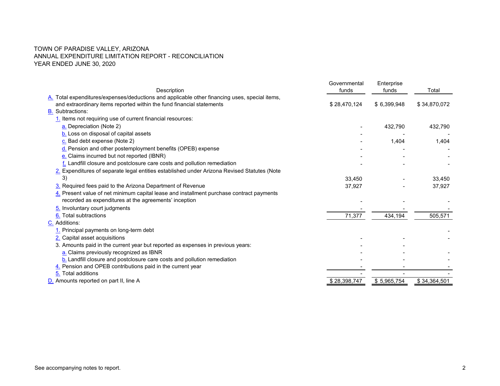# TOWN OF PARADISE VALLEY, ARIZONA ANNUAL EXPENDITURE LIMITATION REPORT - RECONCILIATIONYEAR ENDED JUNE 30, 2020

|                                                                                                                                                                        | Governmental<br>funds | Enterprise  | Total        |
|------------------------------------------------------------------------------------------------------------------------------------------------------------------------|-----------------------|-------------|--------------|
| Description                                                                                                                                                            |                       | funds       |              |
| A. Total expenditures/expenses/deductions and applicable other financing uses, special items,<br>and extraordinary items reported within the fund financial statements |                       |             | \$34,870,072 |
| <b>B.</b> Subtractions:                                                                                                                                                | \$28,470,124          | \$6,399,948 |              |
|                                                                                                                                                                        |                       |             |              |
| 1. Items not requiring use of current financial resources:                                                                                                             |                       |             |              |
| a. Depreciation (Note 2)                                                                                                                                               |                       | 432,790     | 432,790      |
| b. Loss on disposal of capital assets                                                                                                                                  |                       |             |              |
| c. Bad debt expense (Note 2)                                                                                                                                           |                       | 1,404       | 1,404        |
| d. Pension and other postemployment benefits (OPEB) expense                                                                                                            |                       |             |              |
| e. Claims incurred but not reported (IBNR)                                                                                                                             |                       |             |              |
| f. Landfill closure and postclosure care costs and pollution remediation                                                                                               |                       |             |              |
| 2. Expenditures of separate legal entities established under Arizona Revised Statutes (Note                                                                            |                       |             |              |
| 3)                                                                                                                                                                     | 33,450                |             | 33,450       |
| 3. Required fees paid to the Arizona Department of Revenue                                                                                                             | 37,927                |             | 37,927       |
| 4. Present value of net minimum capital lease and installment purchase contract payments                                                                               |                       |             |              |
| recorded as expenditures at the agreements' inception                                                                                                                  |                       |             |              |
| 5. Involuntary court judgments                                                                                                                                         |                       |             |              |
| 6. Total subtractions                                                                                                                                                  | 71,377                | 434,194     | 505,571      |
| C. Additions:                                                                                                                                                          |                       |             |              |
| 1. Principal payments on long-term debt                                                                                                                                |                       |             |              |
| 2. Capital asset acquisitions                                                                                                                                          |                       |             |              |
| 3. Amounts paid in the current year but reported as expenses in previous years:                                                                                        |                       |             |              |
| a. Claims previously recognized as IBNR                                                                                                                                |                       |             |              |
| b. Landfill closure and postclosure care costs and pollution remediation                                                                                               |                       |             |              |
| 4. Pension and OPEB contributions paid in the current year                                                                                                             |                       |             |              |
| 5. Total additions                                                                                                                                                     |                       |             |              |
| D. Amounts reported on part II, line A                                                                                                                                 | \$28,398,747          | \$5,965,754 | \$34,364,501 |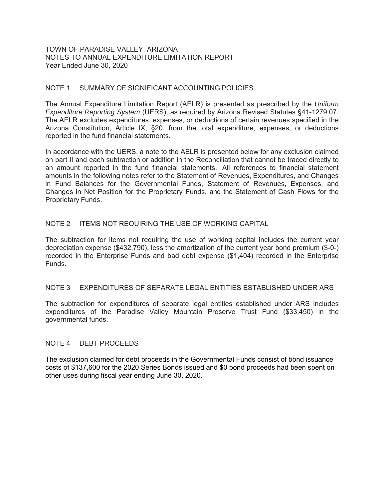### TOWN OF PARADISE VALLEY, ARIZONA NOTES TO ANNUAL EXPENDITURE LIMITATION REPORT Year Ended June 30, 2020

# NOTE 1 SUMMARY OF SIGNIFICANT ACCOUNTING POLICIES

The Annual Expenditure Limitation Report (AELR) is presented as prescribed by the *Uniform Expenditure Reporting System* (UERS), as required by Arizona Revised Statutes §41-1279.07. The AELR excludes expenditures, expenses, or deductions of certain revenues specified in the Arizona Constitution, Article IX, §20, from the total expenditure, expenses, or deductions reported in the fund financial statements.

In accordance with the UERS, a note to the AELR is presented below for any exclusion claimed on part II and each subtraction or addition in the Reconciliation that cannot be traced directly to an amount reported in the fund financial statements. All references to financial statement amounts in the following notes refer to the Statement of Revenues, Expenditures, and Changes in Fund Balances for the Governmental Funds, Statement of Revenues, Expenses, and Changes in Net Position for the Proprietary Funds, and the Statement of Cash Flows for the Proprietary Funds.

# NOTE 2 ITEMS NOT REQUIRING THE USE OF WORKING CAPITAL

The subtraction for items not requiring the use of working capital includes the current year depreciation expense (\$432,790), less the amortization of the current year bond premium (\$-0-) recorded in the Enterprise Funds and bad debt expense (\$1,404) recorded in the Enterprise Funds.

### NOTE 3 EXPENDITURES OF SEPARATE LEGAL ENTITIES ESTABLISHED UNDER ARS

The subtraction for expenditures of separate legal entities established under ARS includes expenditures of the Paradise Valley Mountain Preserve Trust Fund (\$33,450) in the governmental funds.

### NOTE 4 DEBT PROCEEDS

The exclusion claimed for debt proceeds in the Governmental Funds consist of bond issuance costs of \$137,600 for the 2020 Series Bonds issued and \$0 bond proceeds had been spent on other uses during fiscal year ending June 30, 2020.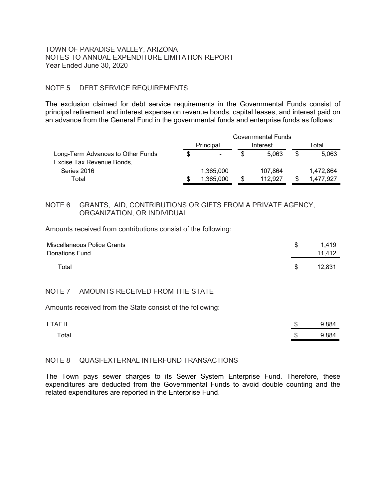### TOWN OF PARADISE VALLEY, ARIZONA NOTES TO ANNUAL EXPENDITURE LIMITATION REPORT Year Ended June 30, 2020

# NOTE 5 DEBT SERVICE REQUIREMENTS

The exclusion claimed for debt service requirements in the Governmental Funds consist of principal retirement and interest expense on revenue bonds, capital leases, and interest paid on an advance from the General Fund in the governmental funds and enterprise funds as follows:

|                                   | Governmental Funds    |                          |   |         |   |           |
|-----------------------------------|-----------------------|--------------------------|---|---------|---|-----------|
|                                   | Principal<br>Interest |                          |   | Total   |   |           |
| Long-Term Advances to Other Funds |                       | $\overline{\phantom{a}}$ |   | 5.063   | S | 5,063     |
| Excise Tax Revenue Bonds,         |                       |                          |   |         |   |           |
| Series 2016                       |                       | 1,365,000                |   | 107.864 |   | 1,472,864 |
| Total                             |                       | 1,365,000                | S | 112.927 |   | 1.477.927 |

# NOTE 6 GRANTS, AID, CONTRIBUTIONS OR GIFTS FROM A PRIVATE AGENCY, ORGANIZATION, OR INDIVIDUAL

Amounts received from contributions consist of the following:

| Miscellaneous Police Grants<br><b>Donations Fund</b> | S. | 1.419<br>11.412 |
|------------------------------------------------------|----|-----------------|
| Total                                                | S  | 12,831          |

# NOTE 7 AMOUNTS RECEIVED FROM THE STATE

Amounts received from the State consist of the following:

| LTAF II | \$  | 9,884 |
|---------|-----|-------|
| Total   | \$. | 9,884 |

### NOTE 8 QUASI-EXTERNAL INTERFUND TRANSACTIONS

The Town pays sewer charges to its Sewer System Enterprise Fund. Therefore, these expenditures are deducted from the Governmental Funds to avoid double counting and the related expenditures are reported in the Enterprise Fund.